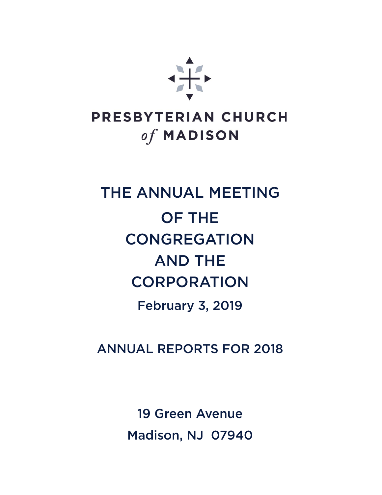

## PRESBYTERIAN CHURCH of MADISON

# THE ANNUAL MEETING **OF THE CONGREGATION AND THE CORPORATION February 3, 2019**

**ANNUAL REPORTS FOR 2018** 

**19 Green Avenue** Madison, NJ 07940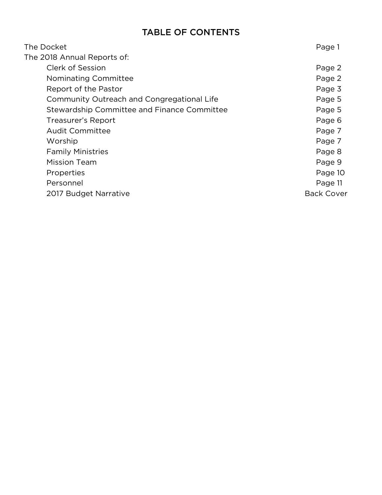#### **TABLE OF CONTENTS**

| The Docket                                  | Page 1            |
|---------------------------------------------|-------------------|
| The 2018 Annual Reports of:                 |                   |
| Clerk of Session                            | Page 2            |
| Nominating Committee                        | Page 2            |
| Report of the Pastor                        | Page 3            |
| Community Outreach and Congregational Life  | Page 5            |
| Stewardship Committee and Finance Committee | Page 5            |
| Treasurer's Report                          | Page 6            |
| <b>Audit Committee</b>                      | Page 7            |
| Worship                                     | Page 7            |
| <b>Family Ministries</b>                    | Page 8            |
| <b>Mission Team</b>                         | Page 9            |
| Properties                                  | Page 10           |
| Personnel                                   | Page 11           |
| 2017 Budget Narrative                       | <b>Back Cover</b> |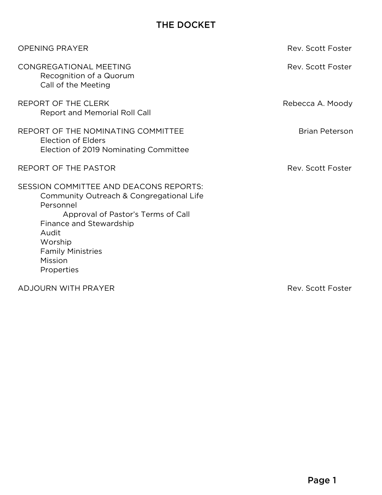#### THE DOCKET

| <b>OPENING PRAYER</b>                                                                                                                                                                                                                     | Rev. Scott Foster     |
|-------------------------------------------------------------------------------------------------------------------------------------------------------------------------------------------------------------------------------------------|-----------------------|
| <b>CONGREGATIONAL MEETING</b><br>Recognition of a Quorum<br>Call of the Meeting                                                                                                                                                           | Rev. Scott Foster     |
| REPORT OF THE CLERK<br>Report and Memorial Roll Call                                                                                                                                                                                      | Rebecca A. Moody      |
| REPORT OF THE NOMINATING COMMITTEE<br>Election of Elders<br>Election of 2019 Nominating Committee                                                                                                                                         | <b>Brian Peterson</b> |
| REPORT OF THE PASTOR                                                                                                                                                                                                                      | Rev. Scott Foster     |
| SESSION COMMITTEE AND DEACONS REPORTS:<br>Community Outreach & Congregational Life<br>Personnel<br>Approval of Pastor's Terms of Call<br>Finance and Stewardship<br>Audit<br>Worship<br><b>Family Ministries</b><br>Mission<br>Properties |                       |
| ADJOURN WITH PRAYER                                                                                                                                                                                                                       | Rev. Scott Foster     |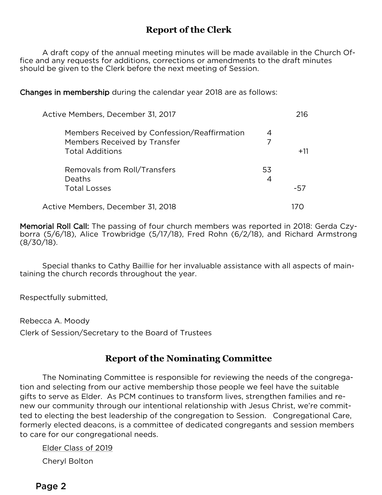#### **Report of the Clerk**

A draft copy of the annual meeting minutes will be made available in the Church Of-<br>fice and any requests for additions, corrections or amendments to the draft minutes should be given to the Clerk before the next meeting of Session. should be given to the Clerk before the next meeting of Session.

 $\overline{a}$ Changes in membership during the calendar year 2018 are as follows:

| Active Members, December 31, 2017                                                                      |         | 216   |
|--------------------------------------------------------------------------------------------------------|---------|-------|
| Members Received by Confession/Reaffirmation<br>Members Received by Transfer<br><b>Total Additions</b> | 4       | $+11$ |
| Removals from Roll/Transfers<br><b>Deaths</b><br><b>Total Losses</b>                                   | 53<br>4 | -57   |
| Active Members, December 31, 2018                                                                      |         |       |

**Memorial Roll Call:** The passing of four church members was reported in 2018: Gerda Czy-<br>borra (5/6/18), Alice Trowbridge (5/17/18), Fred Rohn (6/2/18), and Richard Armstrong  $\frac{(8/30/18)}{}$  $(2, 2, 3)$ .

 $S_{\rm F}$  the church records throughout the year. taining the church records throughout the year.

Respectfully submitted,

Rebecca A. Moody<br>Clerk of Session/Secretary to the Board of Trustees Clerk of Session/Secretary to the Board of Trustees

#### **Report of the Nominating Committee**

The Nominating Committee is responsible for reviewing the needs of the congregation and selecting from our active membership those people we feel have the suitable gifts to serve as Elder. As PCM continues to transform lives, strengthen families and renew our community through our intentional relationship with Jesus Christ, we're committed to electing the best leadership of the congregation to Session. Congregational Care, formerly elected deacons, is a committee of dedicated congregants and session members to care for our congregational needs. to care for our congregational needs.

Elder Class of 2019

Cheryl Bolton

Page 2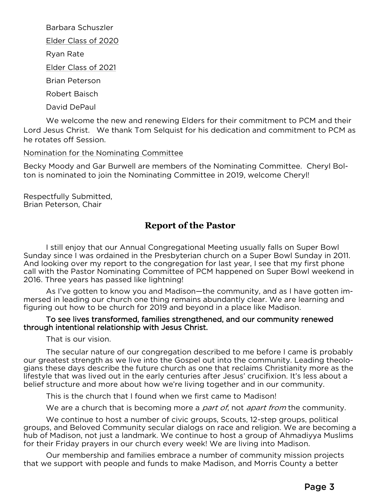Barbara Schuszler Barbara Schuszler <u>Elder Class of 2020</u> Ryan Rate <u>Elder Class of 2021</u> Brian Peterson David DePaul David DePaul

We welcome the new and renewing Elders for their commitment to PCM and their<br>Lord Jesus Christ. We thank Tom Selguist for his dedication and commitment to PCM as he rotates off Session. he rotates off Session.

Nomination for the Nominating Committee<br>Becky Moody and Gar Burwell are members of the Nominating Committee. Cheryl Bolton is nominated to join the Nominating Committee in 2019, welcome Cheryl! ton is nominated to join the Nominating Committee in 2019, welcome Cheryl!

Respectfully Submitted,<br>Brian Peterson, Chair Brian Peterson, Chair

#### **Report of the Pastor**

I still enjoy that our Annual Congregational Meeting usually falls on Super Bowl And looking over my report to the congregation for last year, I see that my first phone call with the Pastor Nominating Committee of PCM happened on Super Bowl weekend in 2016. Three years has passed like lightning!

As I've gotten to know you and Madison—the community, and as I have gotten immersed in leading our church one thing remains abundantly clear. We are learning and figuring out how to be church for 2019 and beyond in a place like Madison.

#### To see lives transformed, families strengthened, and our community renewed through intentional relationship with Jesus Christ. through intentional relationship with Jesus Christ.

That is our vision.<br>The secular nature of our congregation described to me before I came IS probably our greatest strength as we live into the Gospel out into the community. Leading theologians these days describe the future church as one that reclaims Christianity more as the lifestyle that was lived out in the early centuries after Jesus' crucifixion. It's less about a belief structure and more about how we're living together and in our community.

This is the church that I found when we first came to Madison!

 $T_{\rm eff}$  found when we first came to  $T_{\rm eff}$  found when we first came to  $\sigma$ We are a church that is becoming more a *part of*, not *apart from* the community.<br>We are a church that is becoming for the second that is a change of the second that the second that the second

We continue to host a number of civic groups, Scouts, 12-step groups, political groups, and Beloved Community secular dialogs on race and religion. We are becoming a hub of Madison, not just a landmark. We continue to host a group of Ahmadiyya Muslims for their Friday prayers in our church every week! We are living into Madison.

Our membership and families embrace a number of community mission projects. that we support with people and funds to make Madison, and Morris County a better that we support with people and funds to make Madison, and Morris County a better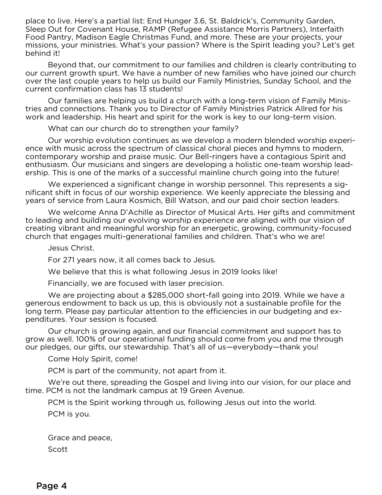place to live. Here's a partial list: End Hunger 3.6, St. Baldrick's, Community Garden,<br>Sleep Out for Covenant House, RAMP (Refugee Assistance Morris Partners), Interfaith Food Pantry, Madison Eagle Christmas Fund, and more. These are your projects, your missions, your ministries. What's your passion? Where is the Spirit leading you? Let's get missions, your ministries. What's your passion? Where is the Spirit leading you? Let's get

behind it! Beyond that, our commitment to our families and children is clearly contributing to<br>our current growth spurt. We have a number of new families who have joined our church over the last couple years to help us build our Family Ministries, Sunday School, and the current confirmation class has 13 students!

Our families are helping us build a church with a long-term vision of Family Ministries and connections. Thank you to Director of Family Ministries Patrick Allred for his work and leadership. His heart and spirit for the work is key to our long-term vision.

What can our church do to strengthen your family?

Our worship evolution continues as we develop a modern blended worship experience with music across the spectrum of classical choral pieces and hymns to modern, contemporary worship and praise music. Our Bell-ringers have a contagious Spirit and enthusiasm. Our musicians and singers are developing a holistic one-team worship leadership. This is one of the marks of a successful mainline church going into the future!

We experienced a significant change in worship personnel. This represents a significant shift in focus of our worship experience. We keenly appreciate the blessing and years of service from Laura Kosmich, Bill Watson, and our paid choir section leaders.

We welcome Anna D'Achille as Director of Musical Arts. Her gifts and commitment to leading and building our evolving worship experience are aligned with our vision of creating vibrant and meaning ful worship for an energetic, growing, community-focused  $\frac{1}{2}$  church that engages multi-generational families and children. That's who we are  $\frac{1}{2}$ church that engages multi-generational families and children. That's who we are an

Jesus Christ.<br>For 271 years now, it all comes back to Jesus.

We believe that this is what following Jesus in 2019 looks like!

Financially, we are focused with laser precision.

We are projecting about a \$285,000 short-fall going into 2019. While we have a generous endowment to back us up, this is obviously not a sustainable profile for the long term. Please pay particular attention to the efficiencies in our budgeting and expenditures. Your session is focused.

Our church is growing again, and our financial commitment and support has to grow as well. 100% of our operational funding should come from you and me through grow as well-well. The persuad funding should come from you and me through our pledges, our gifts, our stewardship. That's all of us—everybody—thank you!

Come Holy Spirit, come!<br>PCM is part of the community, not apart from it.

We're out there, spreading the Gospel and living into our vision, for our place and time. PCM is not the landmark campus at 19 Green Avenue.

time. PCM is not the landmark campus at 19 Green Avenue. PCM is the Spirit working through us, following Jesus out into the world.

 $\mathbb{R}^n$ 

Grace and peace, Scott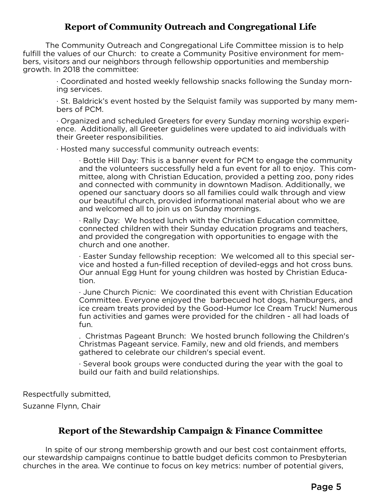#### **Report of Community Outreach and Congregational Life**

The Community Outreach and Congregational Life Committee mission is to help<br>fulfill the values of our Church: to create a Community Positive environment for members, visitors and our neighbors through fellowship opportunities and membership arowth. In 2018 the committee:

> $\cdot$  Coordinated and hosted weekly fellowship snacks following the Sunday morning services.

. St. Baldrick's event hosted by the Selguist family was supported by many members of PCM.

Organized and scheduled Greeters for every Sunday morning worship experience. Additionally, all Greeter guidelines were updated to aid individuals with their Greeter responsibilities.

· Hosted many successful community outreach events:

 $\cdot$  Bottle Hill Day: This is a banner event for PCM to engage the community and the volunteers successfully held a fun event for all to enjoy. This committee, along with Christian Education, provided a petting zoo, pony rides and connected with community in downtown Madison. Additionally, we opened our sanctuary doors so all families could walk through and view our beautiful church, provided informational material about who we are and welcomed all to join us on Sunday mornings.

 $\cdot$  Rally Day: We hosted lunch with the Christian Education committee. connected children with their Sunday education programs and teachers, and provided the congregation with opportunities to engage with the church and one another.

Easter Sunday fellowship reception: We welcomed all to this special service and hosted a fun-filled reception of deviled-eggs and hot cross buns. Our annual Egg Hunt for young children was hosted by Christian Educa-Our annual Egg Hunt for young children was hosted by Christian Educa-

 $\cdot$  June Church Picnic: We coordinated this event with Christian Education Committee. Evervone enioved the barbecued hot dogs, hamburgers, and ice cream treats provided by the Good-Humor Ice Cream Truck! Numerous fun activities and games were provided for the children - all had loads of fun activities and games were provided for the children - all had loads of

 $\overline{\phantom{a}}$ . Christmas Pageant Brunch: We hosted brunch following the Children's<br>Christmas Pageant service. Family, new and old friends, and members Christmas Pageant service. Family, new and old friends, and members gathered to celebrate our children's special event.

· Several book groups were conducted during the year with the goal to build our faith and build relationships.

Respectfully submitted,<br>Suzanne Flynn, Chair

Suzanne Flynn, Chair

#### **Report of the Stewardship Campaign & Finance Committee**

In spite of our strong membership growth and our best cost containment efforts,<br>our stewardship campaigns continue to battle budget deficits common to Presbyterian churches in the area. We continue to focus on key metrics: number of potential givers, churches in the area. We continue to focus on  $\mathcal{G}$  is focus on the potential givers,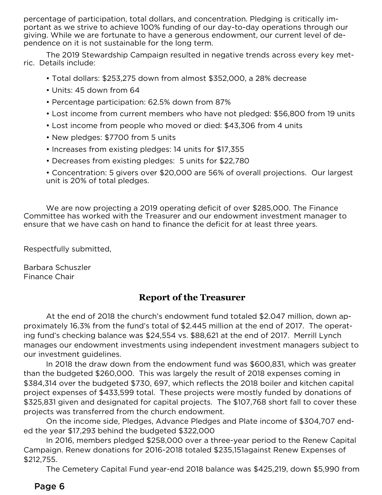percentage of participation, total dollars, and concentration. Pledging is critically im-<br>portant as we strive to achieve 100% funding of our day-to-day operations through our giving. While we are fortunate to have a generous endowment, our current level of dependence on it is not sustainable for the long term.

The 2019 Stewardship Campaign resulted in negative trends across every key metric. Details include: ric. Details include:

- Total dollars: \$253,275 down from almost \$352,000, a 28% decrease
- 
- Percentage participation: 62.5% down from 87%
- Lost income from current members who have not pledged: \$56,800 from 19 units
- Lost income from people who moved or died: \$43,306 from 4 units
- New pledges: \$7700 from 5 units
- Increases from existing pledges: 14 units for \$17,355
- Decreases from existing pledges: 5 units for \$22,780

• Concentration: 5 givers over \$20,000 are 56% of overall projections. Our largest explore the first over the second term in the second projections. Our largest unit is 20% of total pledges unit is 2000 of total pleases.

We are now projecting a 2019 operating deficit of over \$285,000. The Finance<br>Committee has worked with the Treasurer and our endowment investment manager to ensure that we have cash on hand to finance the deficit for at least three years. ensure that we have cash on hand to finance the deficit for at least three years.

Respectfully submitted,

Barbara Schuszler Finance Chair Finance Chair

#### **Report of the Treasurer**

At the end of 2018 the church's endowment fund totaled \$2.047 million, down ap-<br>-proximately 16.3% from the fund's total of \$2.445 million at the end of 2017. The operat ing fund's checking balance was \$24,554 vs. \$88,621 at the end of 2017. Merrill Lynch manages our endowment investments using independent investment managers subject to our investment quidelines.

In 2018 the draw down from the endowment fund was \$600,831, which was greater than the budgeted \$260,000. This was largely the result of 2018 expenses coming in \$384,314 over the budgeted \$730, 697, which reflects the 2018 boiler and kitchen capital project expenses of \$433,599 total. These projects were mostly funded by donations of \$325,831 given and designated for capital projects. The \$107,768 short fall to cover these projects was transferred from the church endowment.

On the income side, Pledges, Advance Pledges and Plate income of \$304,707 ended the year \$17,293 behind the budgeted \$322,000

In 2016, members pledged \$258,000 over a three-year period to the Renew Capital In 2016, members pleased to 2016-2018 totaled \$275.151 against Denew Expenses of  $\frac{1}{2}$ Campaign. Renew donations for 2016-2018 total total  $\frac{1}{2}$  and  $\frac{1}{2}$ \$212,755.<br>The Cemetery Capital Fund year-end 2018 balance was \$425,219, down \$5,990 from

The centery capital Fund year-end 2018 balance was  $\ddot{x}$  inspired, down \$5,990 from

#### Page 6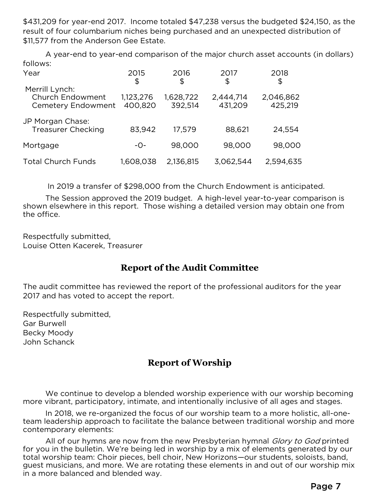\$431,209 for year-end 2017. Income totaled \$47,238 versus the budgeted \$24,150, as the \$11,577 from the Anderson Gee Estate. \$11,577 from the Anderson Gee Estate.

A year-end to year-end comparison of the major church asset accounts (in dollars)

| Year                                                                   | 2015<br>\$           | 2016<br>\$           | 2017<br>\$           | 2018<br>\$           |
|------------------------------------------------------------------------|----------------------|----------------------|----------------------|----------------------|
| Merrill Lynch:<br><b>Church Endowment</b><br><b>Cemetery Endowment</b> | 1,123,276<br>400,820 | 1,628,722<br>392,514 | 2,444,714<br>431,209 | 2,046,862<br>425,219 |
| JP Morgan Chase:<br><b>Treasurer Checking</b>                          | 83,942               | 17,579               | 88,621               | 24,554               |
| Mortgage                                                               | $-$ O $-$            | 98,000               | 98,000               | 98,000               |
| <b>Total Church Funds</b>                                              | 1,608,038            | 2,136,815            | 3,062,544            | 2,594,635            |

In 2019 a transfer of \$298,000 from the Church Endowment is anticipated.<br>The Session approved the 2019 budget. A high-level year-to-year comparison is  $\frac{1}{2}$  shown elsewhere in this report. Those wishing a detailed version may obtain one from shown elsewhere in this report. Those wishing a detailed version may obtain one from the office.

Respectfully submitted,<br>Louise Otten Kacerek, Treasurer Louise Otten Kacerek, Treasurer

#### **Report of the Audit Committee**

The audit committee has reviewed the report of the professional auditors for the year<br>2017 and has voted to accept the report. 2017 and has voted to accept the report.

Respectfully submitted,<br>Gar Burwell Becky Moody John Schanck John Schanck

#### **Report of Worship**

We continue to develop a blended worship experience with our worship becoming<br>more vibrant, participatory, intimate, and intentionally inclusive of all ages and stages.

In 2018, we re-organized the focus of our worship team to a more holistic, all-oneteam leadership approach to facilitate the balance between traditional worship and more contemporary elements:

contemporary elements: All of our hymns are now from the new Presbyterian hymnal *Glory to God* printed<br>u in the bulletin. We're being led in worship by a mix of elements generated by our for you in the bulletin. We're being led in worship by a mix of elements generated by our<br>total worship team: Choir pieces, bell choir, New Horizons—our students, soloists, band, guest musicians, and more. We are rotating these elements in and out of our worship mix in a more balanced and blended way. in a more balanced and blended way.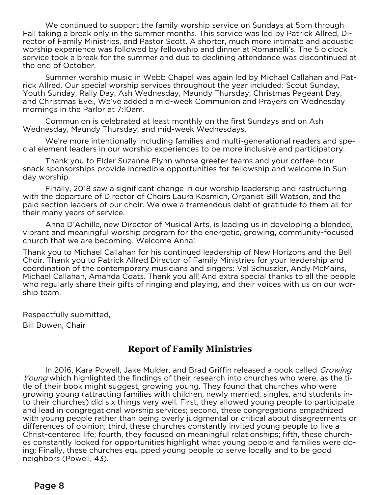We continued to support the family worship service on Sundays at 5pm through<br>Fall taking a break only in the summer months. This service was led by Patrick Allred, Director of Family Ministries, and Pastor Scott. A shorter, much more intimate and acoustic worship experience was followed by fellowship and dinner at Romanelli's. The 5 o'clock service took a break for the summer and due to declining attendance was discontinued at the end of October.

Summer worship music in Webb Chapel was again led by Michael Callahan and Patrick Allred. Our special worship services throughout the year included: Scout Sunday, Youth Sunday, Rally Day, Ash Wednesday, Maundy Thursday, Christmas Pageant Day, and Christmas Eve., We've added a mid-week Communion and Prayers on Wednesday mornings in the Parlor at 7:10am.

Communion is celebrated at least monthly on the first Sundays and on Ash Wednesday, Maundy Thursday, and mid-week Wednesdays.

We're more intentionally including families and multi-generational readers and special element leaders in our worship experiences to be more inclusive and participatory.

Thank you to Elder Suzanne Flynn whose greeter teams and your coffee-hour snack sponsorships provide incredible opportunities for fellowship and welcome in Sunday worship.

Finally, 2018 saw a significant change in our worship leadership and restructuring with the departure of Director of Choirs Laura Kosmich, Organist Bill Watson, and the paid section leaders of our choir. We owe a tremendous debt of gratitude to them all for their many years of service.

Anna D'Achille, new Director of Musical Arts, is leading us in developing a blended, vibrant and meaningful worship program for the energetic, growing, community-focused church that we are becoming. Welcome Anna!

Thank you to Michael Callahan for his continued leadership of New Horizons and the Bell Choir. Thank you to Patrick Allred Director of Family Ministries for your leadership and coordination of the contemporary musicians and singers: Val Schuszler, Andy McMains, Michael Callahan, Amanda Coats. Thank you all! And extra special thanks to all the people who regularly share their gifts of ringing and playing, and their voices with us on our worwho regularly share their gifts of ringing and playing, and their voices with us on our wor-<br>ship feam. ship team.

Respectfully submitted,<br>Bill Bowen, Chair  $\mathbb{R}^m = \mathbb{R}^m$ 

#### **Report of Family Ministries**

In 2016, Kara Powell, Jake Mulder, and Brad Griffin released a book called *Growing*<br>zwhich highlighted the findings of their research into churches who were, as the ti-*Young* which highlighted the findings of their research into churches who were, as the ti-<br>tle of their book might suggest, growing young. They found that churches who were tle of their book might suggest, growing young. They found that churches who were<br>growing young (attracting families with children, newly married, singles, and students into their churches) did six things very well. First, they allowed young people to participate and lead in congregational worship services; second, these congregations empathized with young people rather than being overly judgmental or critical about disagreements or differences of opinion; third, these churches constantly invited young people to live a Christ-centered life; fourth, they focused on meaningful relationships; fifth, these churches constantly looked for opportunities highlight what young people and families were doing; Finally, these churches equipped young people to serve locally and to be good neighbors (Powell, 43). neighbors (Powell, 43).

Page 8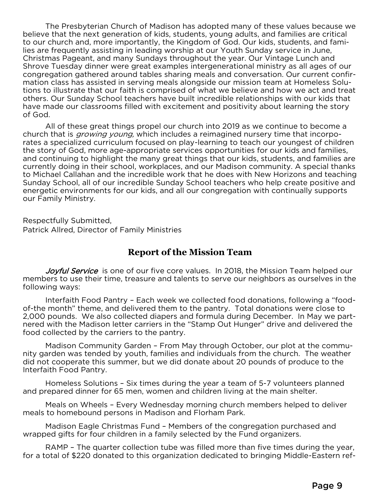The Presbyterian Church of Madison has adopted many of these values because we<br>believe that the next generation of kids, students, young adults, and families are critical to our church and, more importantly, the Kingdom of God. Our kids, students, and families are frequently assisting in leading worship at our Youth Sunday service in June, Christmas Pageant, and many Sundays throughout the year. Our Vintage Lunch and Shrove Tuesday dinner were great examples intergenerational ministry as all ages of our congregation gathered around tables sharing meals and conversation. Our current confirmation class has assisted in serving meals alongside our mission team at Homeless Solutions to illustrate that our faith is comprised of what we believe and how we act and treat others. Our Sunday School teachers have built incredible relationships with our kids that have made our classrooms filled with excitement and positivity about learning the story have made our classrooms filled with excitement and positivity about learning the story

of God. church that is *growing young*, which includes a reimagined nursery time that incorpo-<br>rates a specialized curriculum focused on play-learning to teach our voungest of childre rates a specialized curriculum focused on play-learning to teach our youngest of children<br>the story of God, more age-appropriate services opportunities for our kids and families, and continuing to highlight the many great things that our kids, students, and families are currently doing in their school, workplaces, and our Madison community. A special thanks to Michael Callahan and the incredible work that he does with New Horizons and teaching Sunday School, all of our incredible Sunday School teachers who help create positive and energetic environments for our kids, and all our congregation with continually supports energetic environments for our congregation with congregation with congregation with congregation  $\sigma$ our Family Ministry.

Patrick Allred, Director Patrick Allred, Director of Family Ministries

#### **Report of the Mission Team**

Joyful Service is one of our five core values. In 2018, the Mission Team helped our members to use their time, treasure and talents to serve our neighbors as ourselves in the following ways: following ways:

Interfaith Food Pantry - Each week we collected food donations, following a "food-<br>of-the month" theme, and delivered them to the pantry. Total donations were close to 2,000 pounds. We also collected diapers and formula during December. In May we partnered with the Madison letter carriers in the "Stamp Out Hunger" drive and delivered the food collected by the carriers to the pantry. food collected by the carriers to the pantry.

Madison Community Garden - From May through October, our plot at the commu-<br>nity garden was tended by youth, families and individuals from the church. The weather did not cooperate this summer, but we did donate about 20 pounds of produce to the Interfaith Food Pantry. Interfaith Food Pantry.

 $\epsilon$  repared dinner for 65 men, women and children living at the main shelter. and prepared dinner for 65 men, women and children living at the main shelter.

Meals on Wheels – Every Wednesday morning church members helped to deliver<br>meals to homebound persons in Madison and Florham Park. meals to homebound persons in Madison and Florham Park.

Madison Eagle Christmas Fund - Members of the congregation purchased and<br>wrapped gifts for four children in a family selected by the Fund organizers. wrapped gifts for four children in a family selected by the Fund organizers.

otal of \$220 donated to this organization dedicated to bringing Middle-Fastern reffor a total of  $\mathcal{L}$  organization dedicated to bringing  $\mathcal{L}$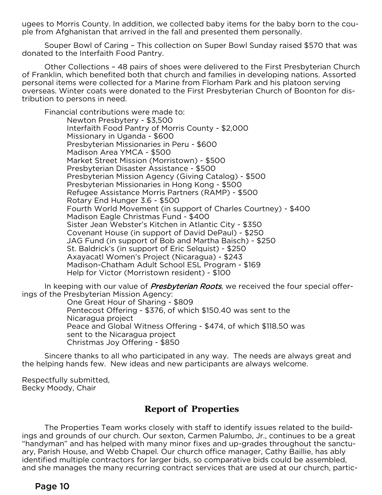ugees to Morris County. In addition, we collected baby items for the baby born to the cou-<br>ple from Afghanistan that arrived in the fall and presented them personally.

Souper Bowl of Caring - This collection on Super Bowl Sunday raised \$570 that was donated to the Interfaith Food Pantry. donated to the Interfaith Food Pantry.

Other Collections - 48 pairs of shoes were delivered to the First Presbyterian Church<br>of Franklin, which benefited both that church and families in developing nations. Assorted personal items were collected for a Marine from Florham Park and his platoon serving overseas. Winter coats were donated to the First Presbyterian Church of Boonton for distribution to persons in need. tribution to persons in need.

Financial contributions were made to: Interfaith Food Pantry of Morris County - \$2,000 Missionary in Uganda - \$600 Presbyterian Missionaries in Peru - \$600 Madison Area YMCA - \$500 Market Street Mission (Morristown) - \$500 Presbyterian Disaster Assistance - \$500 Presbyterian Mission Agency (Giving Catalog) - \$500 Presbyterian Missionaries in Hong Kong - \$500 Refugee Assistance Morris Partners (RAMP) - \$500 Rotary End Hunger 3.6 - \$500 Fourth World Movement (in support of Charles Courtney) - \$400 Madison Eagle Christmas Fund - \$400 Sister Jean Webster's Kitchen in Atlantic City - \$350 Covenant House (in support of David DePaul) - \$250 JAG Fund (in support of Bob and Martha Baisch) - \$250 St. Baldrick's (in support of Eric Selquist) - \$250 Axayacatl Women's Project (Nicaragua) - \$243 Madison-Chatham Adult School ESL Program - \$169 Help for Victor (Morristown resident) - \$100

 $\mathcal{L}_{\text{max}}$  for  $\mathcal{L}_{\text{max}}$  and  $\mathcal{L}_{\text{max}}$  and  $\mathcal{L}_{\text{max}}$ In keeping with our value of *Presbyterian Roots*, we received the four special offer-<br>f the Presbyterian Mission Agency: ings of the Presbyterian Mission Agency:

Pentecost Offering - \$376, of which \$150.40 was sent to the Nicaragua project Peace and Global Witness Offering - \$474, of which \$118.50 was sent to the Nicaragua project sent to the including an project Christmas Joy Offering - \$850

 $S$  loing hands few. New ideas and new participants are always welcome. the helping hands few. New ideas and new participants are always welcome.

Recky Moody, Chair  $\mathcal{B}(\mathcal{A})$ 

#### **Report of Properties**

The Properties Team works closely with staff to identify issues related to the build-<br>ings and grounds of our church. Our sexton, Carmen Palumbo, Jr., continues to be a great "handyman" and has helped with many minor fixes and up-grades throughout the sanctuary, Parish House, and Webb Chapel. Our church office manager, Cathy Baillie, has ably identified multiple contractors for larger bids, so comparative bids could be assembled. and she manages the many recurring contract services that are used at our church, particand she manages the many recurring contract services that are used at our church, partic-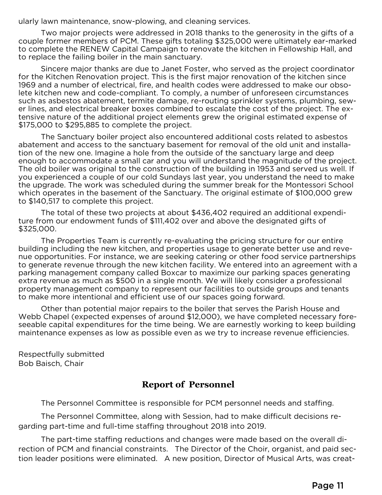ularly lawn maintenance, snow-plowing, and cleaning services.<br>Two major projects were addressed in 2018 thanks to the generosity in the gifts of a couple former members of PCM. These gifts totaling \$325,000 were ultimately ear-marked to complete the RENEW Capital Campaign to renovate the kitchen in Fellowship Hall, and to replace the failing boiler in the main sanctuary.

Sincere major thanks are due to Janet Foster, who served as the project coordinator for the Kitchen Renovation project. This is the first major renovation of the kitchen since 1969 and a number of electrical, fire, and health codes were addressed to make our obsolete kitchen new and code-compliant. To comply, a number of unforeseen circumstances such as asbestos abatement, termite damage, re-routing sprinkler systems, plumbing, sewer lines, and electrical breaker boxes combined to escalate the cost of the project. The extensive nature of the additional project elements grew the original estimated expense of  $$175,000$  to  $$295,885$  to complete the project.

The Sanctuary boiler project also encountered additional costs related to asbestos abatement and access to the sanctuary basement for removal of the old unit and installation of the new one. Imagine a hole from the outside of the sanctuary large and deep enough to accommodate a small car and you will understand the magnitude of the project. The old boiler was original to the construction of the building in 1953 and served us well. If you experienced a couple of our cold Sundays last year, you understand the need to make the upgrade. The work was scheduled during the summer break for the Montessori School which operates in the basement of the Sanctuary. The original estimate of \$100,000 grew to \$140,517 to complete this project.

The total of these two projects at about \$436,402 required an additional expenditure from our endowment funds of \$111,402 over and above the designated gifts of  $$325.000$ \$325,000.<br>The Properties Team is currently re-evaluating the pricing structure for our entire

building including the new kitchen, and properties usage to generate better use and revenue opportunities. For instance, we are seeking catering or other food service partnerships to generate revenue through the new kitchen facility. We entered into an agreement with a parking management company called Boxcar to maximize our parking spaces generating extra revenue as much as \$500 in a single month. We will likely consider a professional property management company to represent our facilities to outside groups and tenants to make more intentional and efficient use of our spaces going forward.

Other than potential major repairs to the boiler that serves the Parish House and Webb Chapel (expected expenses of around \$12,000), we have completed necessary foreseeable capital expenditures for the time being. We are earnestly working to keep building maintenance expenses as low as possible even as we try to increase revenue efficiencies. maintenance expenses as low as possible even as we try to increase revenue efficiencies.

Respectfully submitted<br>Bob Baisch, Chair  $\mathcal{L}$  -  $\mathcal{L}$  -  $\mathcal{L}$  -  $\mathcal{L}$  -  $\mathcal{L}$  -  $\mathcal{L}$  -  $\mathcal{L}$  -  $\mathcal{L}$  -  $\mathcal{L}$  -  $\mathcal{L}$  -  $\mathcal{L}$  -  $\mathcal{L}$  -  $\mathcal{L}$  -  $\mathcal{L}$  -  $\mathcal{L}$  -  $\mathcal{L}$  -  $\mathcal{L}$  -  $\mathcal{L}$  -  $\mathcal{L}$  -  $\mathcal{L}$  -

#### **Report of Personnel**

The Personnel Committee is responsible for PCM personnel needs and staffing.

garding part-time and full-time staffing throughout 2018 into 2019. garding part-time and full-time staffing throughout 2018 into 2019.

The part-time staffing reductions and changes were made based on the overall di-<br>rection of PCM and financial constraints. The Director of the Choir, organist, and paid section leader positions were eliminated. A new position, Director of Musical Arts, was creattion leader positions were eliminated. A new position, Director of Musical Arts, was creat-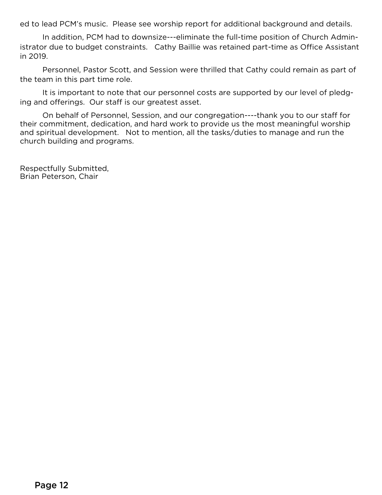ed to lead PCM's music. Please see worship report for additional background and details. In a dition,  $\rho$  and the full-time state in the full-time position of  $\rho$  and  $\rho$  and  $\rho$  are  $\rho$  and  $\rho$  and  $\rho$  are full-time position of  $\rho$  and  $\rho$  are full-time position of  $\rho$  and  $\rho$  and  $\rho$  and  $\rho$  an istrator due to budget constraints. Cathy Baillie was retained part-time as Office Assistant in 2019.

Personnel, Pastor Scott, and Session were thrilled that Cathy could remain as part of the team in this part time role. the team in this part time role.

It is the computation of the computation of the computation of please of please of please of please of please of please of please of please of please of please of please of please of please of please of please of please of ing and offerings. Our staff is our greatest asset.

On behalf of Personnel, Session, and our congregation----thank you to our staff for<br>their commitment, dedication, and hard work to provide us the most meaningful worship and spiritual development. Not to mention, all the tasks/duties to manage and run the church building and programs. church building and programs.

Respectfully Submitted,<br>Brian Peterson, Chair Brian Peterson, Chair